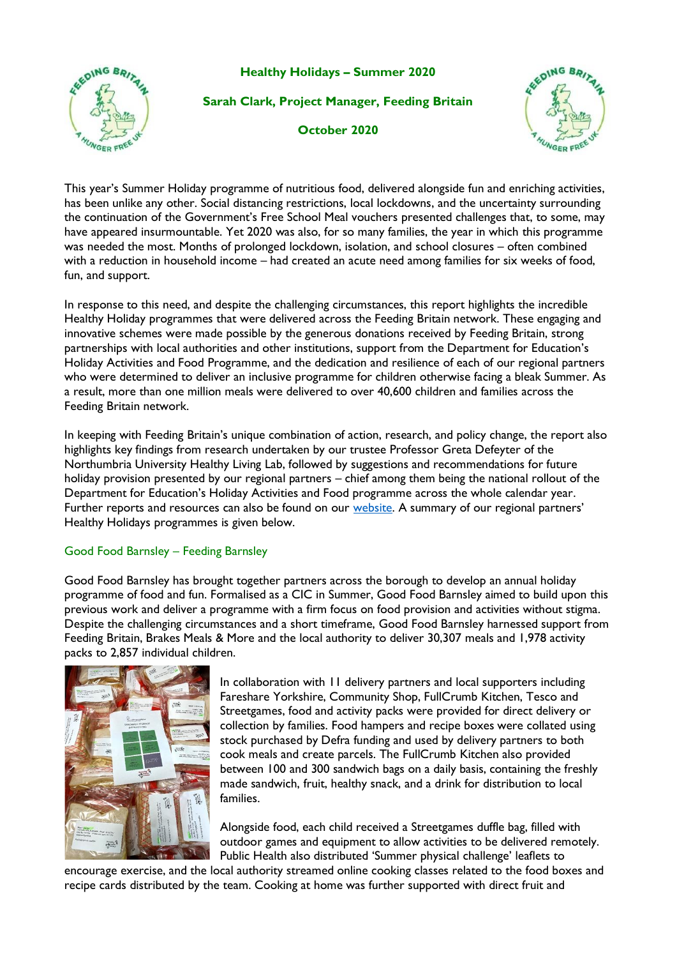**Healthy Holidays – Summer 2020** 



**Sarah Clark, Project Manager, Feeding Britain**

**October 2020**



This year's Summer Holiday programme of nutritious food, delivered alongside fun and enriching activities, has been unlike any other. Social distancing restrictions, local lockdowns, and the uncertainty surrounding the continuation of the Government's Free School Meal vouchers presented challenges that, to some, may have appeared insurmountable. Yet 2020 was also, for so many families, the year in which this programme was needed the most. Months of prolonged lockdown, isolation, and school closures – often combined with a reduction in household income – had created an acute need among families for six weeks of food, fun, and support.

In response to this need, and despite the challenging circumstances, this report highlights the incredible Healthy Holiday programmes that were delivered across the Feeding Britain network. These engaging and innovative schemes were made possible by the generous donations received by Feeding Britain, strong partnerships with local authorities and other institutions, support from the Department for Education's Holiday Activities and Food Programme, and the dedication and resilience of each of our regional partners who were determined to deliver an inclusive programme for children otherwise facing a bleak Summer. As a result, more than one million meals were delivered to over 40,600 children and families across the Feeding Britain network.

In keeping with Feeding Britain's unique combination of action, research, and policy change, the report also highlights key findings from research undertaken by our trustee Professor Greta Defeyter of the Northumbria University Healthy Living Lab, followed by suggestions and recommendations for future holiday provision presented by our regional partners – chief among them being the national rollout of the Department for Education's Holiday Activities and Food programme across the whole calendar year. Further reports and resources can also be found on our [website.](about:blank) A summary of our regional partners' Healthy Holidays programmes is given below.

### Good Food Barnsley – Feeding Barnsley

Good Food Barnsley has brought together partners across the borough to develop an annual holiday programme of food and fun. Formalised as a CIC in Summer, Good Food Barnsley aimed to build upon this previous work and deliver a programme with a firm focus on food provision and activities without stigma. Despite the challenging circumstances and a short timeframe, Good Food Barnsley harnessed support from Feeding Britain, Brakes Meals & More and the local authority to deliver 30,307 meals and 1,978 activity packs to 2,857 individual children.



In collaboration with 11 delivery partners and local supporters including Fareshare Yorkshire, Community Shop, FullCrumb Kitchen, Tesco and Streetgames, food and activity packs were provided for direct delivery or collection by families. Food hampers and recipe boxes were collated using stock purchased by Defra funding and used by delivery partners to both cook meals and create parcels. The FullCrumb Kitchen also provided between 100 and 300 sandwich bags on a daily basis, containing the freshly made sandwich, fruit, healthy snack, and a drink for distribution to local families.

Alongside food, each child received a Streetgames duffle bag, filled with outdoor games and equipment to allow activities to be delivered remotely. Public Health also distributed 'Summer physical challenge' leaflets to

encourage exercise, and the local authority streamed online cooking classes related to the food boxes and recipe cards distributed by the team. Cooking at home was further supported with direct fruit and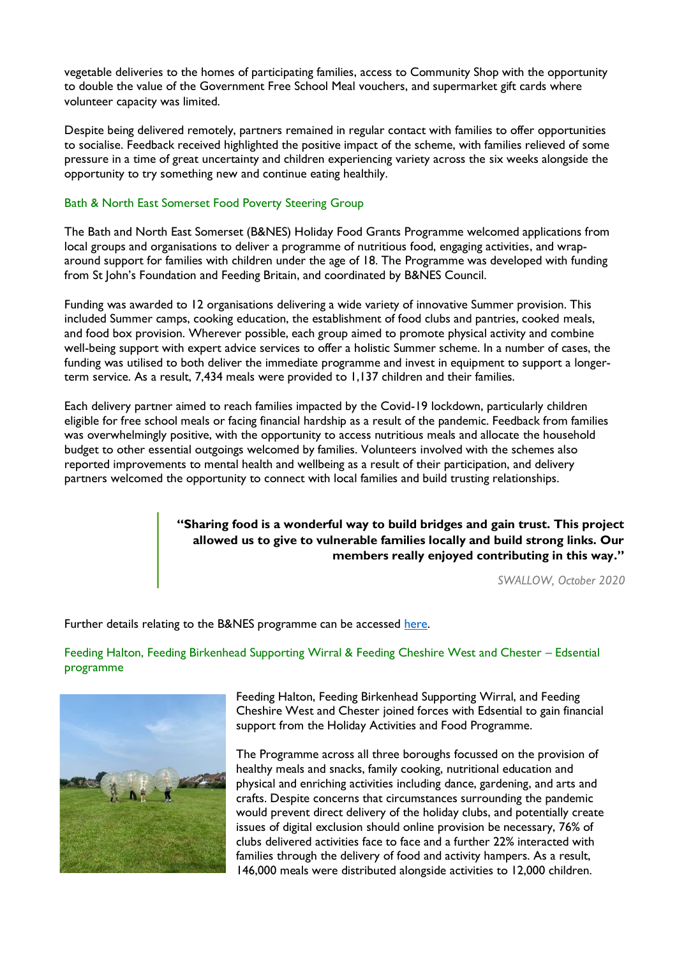vegetable deliveries to the homes of participating families, access to Community Shop with the opportunity to double the value of the Government Free School Meal vouchers, and supermarket gift cards where volunteer capacity was limited.

Despite being delivered remotely, partners remained in regular contact with families to offer opportunities to socialise. Feedback received highlighted the positive impact of the scheme, with families relieved of some pressure in a time of great uncertainty and children experiencing variety across the six weeks alongside the opportunity to try something new and continue eating healthily.

#### Bath & North East Somerset Food Poverty Steering Group

The Bath and North East Somerset (B&NES) Holiday Food Grants Programme welcomed applications from local groups and organisations to deliver a programme of nutritious food, engaging activities, and wraparound support for families with children under the age of 18. The Programme was developed with funding from St John's Foundation and Feeding Britain, and coordinated by B&NES Council.

Funding was awarded to 12 organisations delivering a wide variety of innovative Summer provision. This included Summer camps, cooking education, the establishment of food clubs and pantries, cooked meals, and food box provision. Wherever possible, each group aimed to promote physical activity and combine well-being support with expert advice services to offer a holistic Summer scheme. In a number of cases, the funding was utilised to both deliver the immediate programme and invest in equipment to support a longerterm service. As a result, 7,434 meals were provided to 1,137 children and their families.

Each delivery partner aimed to reach families impacted by the Covid-19 lockdown, particularly children eligible for free school meals or facing financial hardship as a result of the pandemic. Feedback from families was overwhelmingly positive, with the opportunity to access nutritious meals and allocate the household budget to other essential outgoings welcomed by families. Volunteers involved with the schemes also reported improvements to mental health and wellbeing as a result of their participation, and delivery partners welcomed the opportunity to connect with local families and build trusting relationships.

## **"Sharing food is a wonderful way to build bridges and gain trust. This project allowed us to give to vulnerable families locally and build strong links. Our members really enjoyed contributing in this way."**

*SWALLOW, October 2020*

Further details relating to the B&NES programme can be accessed [here.](about:blank)

Feeding Halton, Feeding Birkenhead Supporting Wirral & Feeding Cheshire West and Chester – Edsential programme



Feeding Halton, Feeding Birkenhead Supporting Wirral, and Feeding Cheshire West and Chester joined forces with Edsential to gain financial support from the Holiday Activities and Food Programme.

The Programme across all three boroughs focussed on the provision of healthy meals and snacks, family cooking, nutritional education and physical and enriching activities including dance, gardening, and arts and crafts. Despite concerns that circumstances surrounding the pandemic would prevent direct delivery of the holiday clubs, and potentially create issues of digital exclusion should online provision be necessary, 76% of clubs delivered activities face to face and a further 22% interacted with families through the delivery of food and activity hampers. As a result, 146,000 meals were distributed alongside activities to 12,000 children.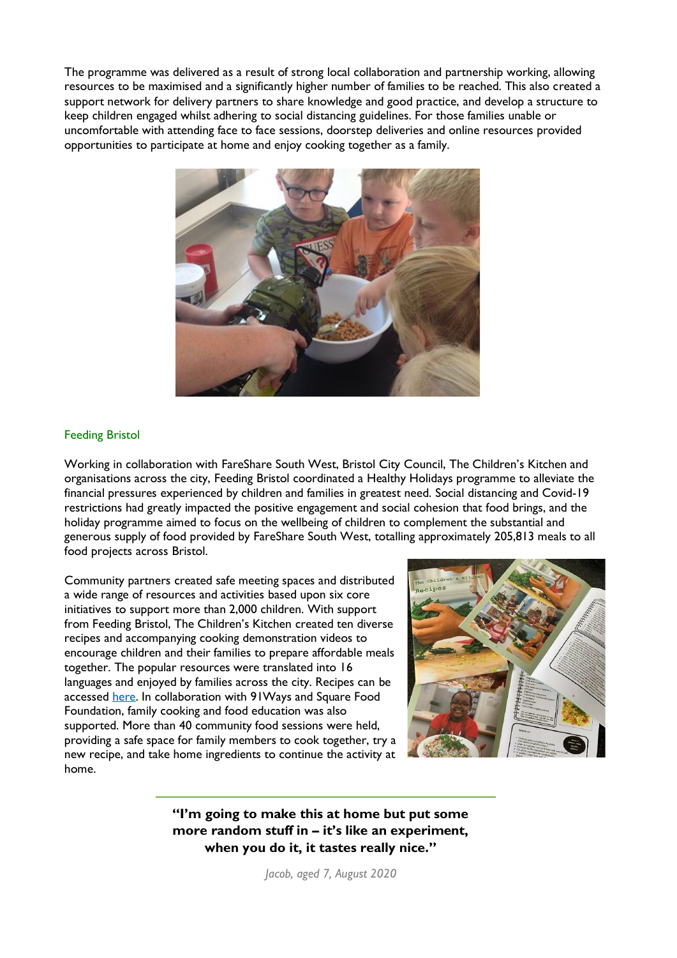The programme was delivered as a result of strong local collaboration and partnership working, allowing resources to be maximised and a significantly higher number of families to be reached. This also created a support network for delivery partners to share knowledge and good practice, and develop a structure to keep children engaged whilst adhering to social distancing guidelines. For those families unable or uncomfortable with attending face to face sessions, doorstep deliveries and online resources provided opportunities to participate at home and enjoy cooking together as a family.



#### Feeding Bristol

Working in collaboration with FareShare South West, Bristol City Council, The Children's Kitchen and organisations across the city, Feeding Bristol coordinated a Healthy Holidays programme to alleviate the financial pressures experienced by children and families in greatest need. Social distancing and Covid-19 restrictions had greatly impacted the positive engagement and social cohesion that food brings, and the holiday programme aimed to focus on the wellbeing of children to complement the substantial and generous supply of food provided by FareShare South West, totalling approximately 205,813 meals to all food projects across Bristol.

Community partners created safe meeting spaces and distributed a wide range of resources and activities based upon six core initiatives to support more than 2,000 children. With support from Feeding Bristol, The Children's Kitchen created ten diverse recipes and accompanying cooking demonstration videos to encourage children and their families to prepare affordable meals together. The popular resources were translated into 16 languages and enjoyed by families across the city. Recipes can be accessed [here.](about:blank) In collaboration with 91Ways and Square Food Foundation, family cooking and food education was also supported. More than 40 community food sessions were held, providing a safe space for family members to cook together, try a new recipe, and take home ingredients to continue the activity at home.



**"I'm going to make this at home but put some more random stuff in – it's like an experiment, when you do it, it tastes really nice."**

*Jacob, aged 7, August 2020*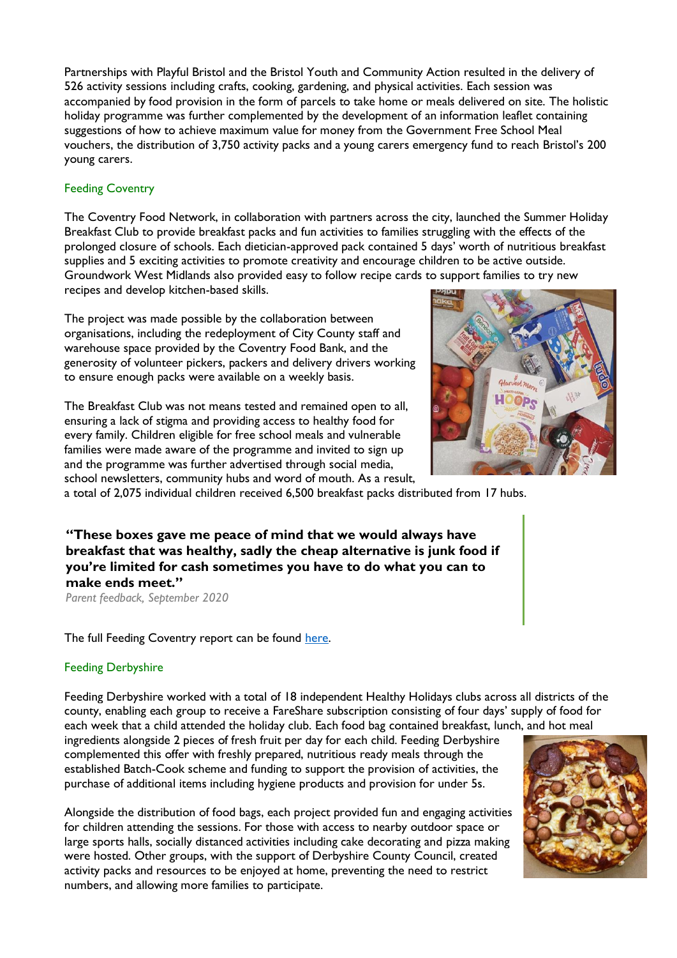Partnerships with Playful Bristol and the Bristol Youth and Community Action resulted in the delivery of 526 activity sessions including crafts, cooking, gardening, and physical activities. Each session was accompanied by food provision in the form of parcels to take home or meals delivered on site. The holistic holiday programme was further complemented by the development of an information leaflet containing suggestions of how to achieve maximum value for money from the Government Free School Meal vouchers, the distribution of 3,750 activity packs and a young carers emergency fund to reach Bristol's 200 young carers.

## Feeding Coventry

The Coventry Food Network, in collaboration with partners across the city, launched the Summer Holiday Breakfast Club to provide breakfast packs and fun activities to families struggling with the effects of the prolonged closure of schools. Each dietician-approved pack contained 5 days' worth of nutritious breakfast supplies and 5 exciting activities to promote creativity and encourage children to be active outside. Groundwork West Midlands also provided easy to follow recipe cards to support families to try new recipes and develop kitchen-based skills.

The project was made possible by the collaboration between organisations, including the redeployment of City County staff and warehouse space provided by the Coventry Food Bank, and the generosity of volunteer pickers, packers and delivery drivers working to ensure enough packs were available on a weekly basis.

The Breakfast Club was not means tested and remained open to all, ensuring a lack of stigma and providing access to healthy food for every family. Children eligible for free school meals and vulnerable families were made aware of the programme and invited to sign up and the programme was further advertised through social media, school newsletters, community hubs and word of mouth. As a result,



a total of 2,075 individual children received 6,500 breakfast packs distributed from 17 hubs.

**"These boxes gave me peace of mind that we would always have breakfast that was healthy, sadly the cheap alternative is junk food if you're limited for cash sometimes you have to do what you can to make ends meet."**

*Parent feedback, September 2020* 

The full Feeding Coventry report can be found [here.](about:blank)

### Feeding Derbyshire

Feeding Derbyshire worked with a total of 18 independent Healthy Holidays clubs across all districts of the county, enabling each group to receive a FareShare subscription consisting of four days' supply of food for each week that a child attended the holiday club. Each food bag contained breakfast, lunch, and hot meal

ingredients alongside 2 pieces of fresh fruit per day for each child. Feeding Derbyshire complemented this offer with freshly prepared, nutritious ready meals through the established Batch-Cook scheme and funding to support the provision of activities, the purchase of additional items including hygiene products and provision for under 5s.

Alongside the distribution of food bags, each project provided fun and engaging activities for children attending the sessions. For those with access to nearby outdoor space or large sports halls, socially distanced activities including cake decorating and pizza making were hosted. Other groups, with the support of Derbyshire County Council, created activity packs and resources to be enjoyed at home, preventing the need to restrict numbers, and allowing more families to participate.

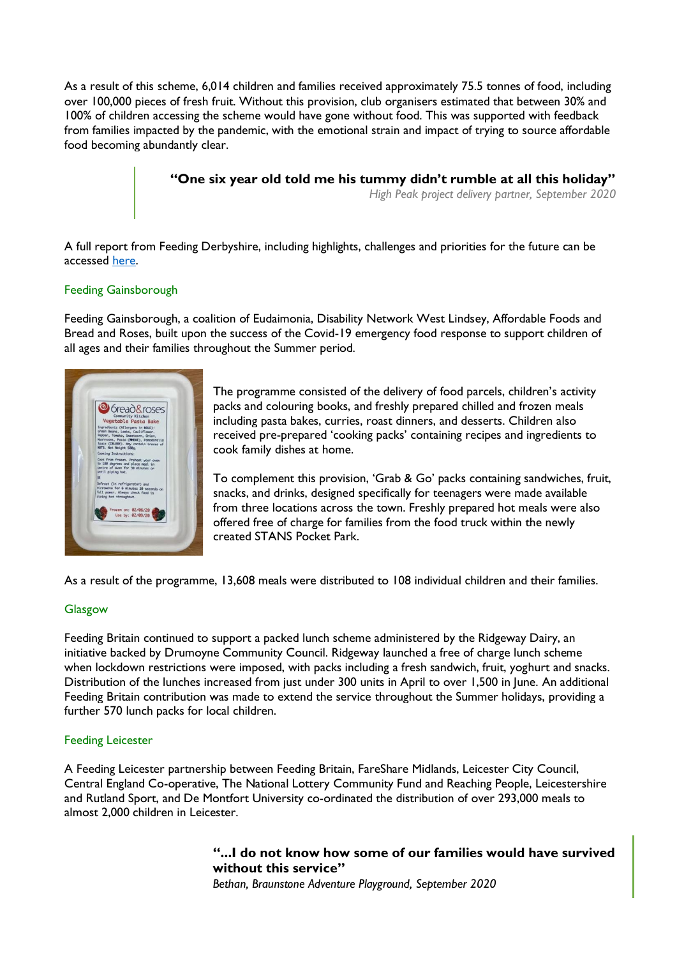As a result of this scheme, 6,014 children and families received approximately 75.5 tonnes of food, including over 100,000 pieces of fresh fruit. Without this provision, club organisers estimated that between 30% and 100% of children accessing the scheme would have gone without food. This was supported with feedback from families impacted by the pandemic, with the emotional strain and impact of trying to source affordable food becoming abundantly clear.

**"One six year old told me his tummy didn't rumble at all this holiday"**

*High Peak project delivery partner, September 2020*

A full report from Feeding Derbyshire, including highlights, challenges and priorities for the future can be accessed [here.](about:blank)

### Feeding Gainsborough

Feeding Gainsborough, a coalition of Eudaimonia, Disability Network West Lindsey, Affordable Foods and Bread and Roses, built upon the success of the Covid-19 emergency food response to support children of all ages and their families throughout the Summer period.



The programme consisted of the delivery of food parcels, children's activity packs and colouring books, and freshly prepared chilled and frozen meals including pasta bakes, curries, roast dinners, and desserts. Children also received pre-prepared 'cooking packs' containing recipes and ingredients to cook family dishes at home.

To complement this provision, 'Grab & Go' packs containing sandwiches, fruit, snacks, and drinks, designed specifically for teenagers were made available from three locations across the town. Freshly prepared hot meals were also offered free of charge for families from the food truck within the newly created STANS Pocket Park.

As a result of the programme, 13,608 meals were distributed to 108 individual children and their families.

### Glasgow

Feeding Britain continued to support a packed lunch scheme administered by the Ridgeway Dairy, an initiative backed by Drumoyne Community Council. Ridgeway launched a free of charge lunch scheme when lockdown restrictions were imposed, with packs including a fresh sandwich, fruit, yoghurt and snacks. Distribution of the lunches increased from just under 300 units in April to over 1,500 in June. An additional Feeding Britain contribution was made to extend the service throughout the Summer holidays, providing a further 570 lunch packs for local children.

#### Feeding Leicester

A Feeding Leicester partnership between Feeding Britain, FareShare Midlands, Leicester City Council, Central England Co-operative, The National Lottery Community Fund and Reaching People, Leicestershire and Rutland Sport, and De Montfort University co-ordinated the distribution of over 293,000 meals to almost 2,000 children in Leicester.

# **"...I do not know how some of our families would have survived without this service"**

*Bethan, Braunstone Adventure Playground, September 2020*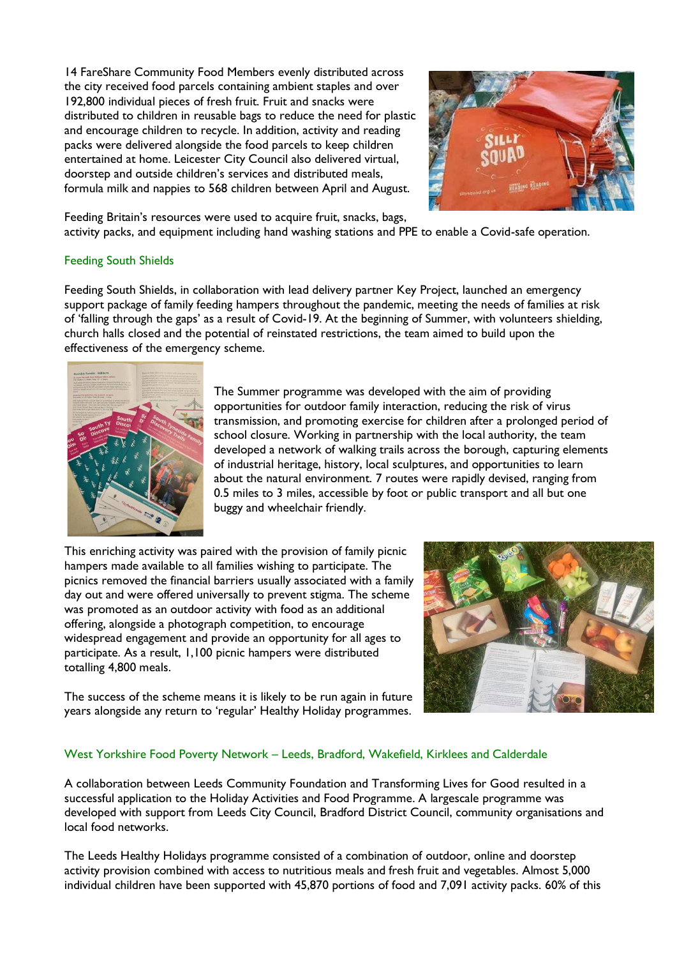14 FareShare Community Food Members evenly distributed across the city received food parcels containing ambient staples and over 192,800 individual pieces of fresh fruit. Fruit and snacks were distributed to children in reusable bags to reduce the need for plastic and encourage children to recycle. In addition, activity and reading packs were delivered alongside the food parcels to keep children entertained at home. Leicester City Council also delivered virtual, doorstep and outside children's services and distributed meals, formula milk and nappies to 568 children between April and August.



Feeding Britain's resources were used to acquire fruit, snacks, bags,

activity packs, and equipment including hand washing stations and PPE to enable a Covid-safe operation.

### Feeding South Shields

Feeding South Shields, in collaboration with lead delivery partner Key Project, launched an emergency support package of family feeding hampers throughout the pandemic, meeting the needs of families at risk of 'falling through the gaps' as a result of Covid-19. At the beginning of Summer, with volunteers shielding, church halls closed and the potential of reinstated restrictions, the team aimed to build upon the effectiveness of the emergency scheme.



The Summer programme was developed with the aim of providing opportunities for outdoor family interaction, reducing the risk of virus transmission, and promoting exercise for children after a prolonged period of school closure. Working in partnership with the local authority, the team developed a network of walking trails across the borough, capturing elements of industrial heritage, history, local sculptures, and opportunities to learn about the natural environment. 7 routes were rapidly devised, ranging from 0.5 miles to 3 miles, accessible by foot or public transport and all but one buggy and wheelchair friendly.

This enriching activity was paired with the provision of family picnic hampers made available to all families wishing to participate. The picnics removed the financial barriers usually associated with a family day out and were offered universally to prevent stigma. The scheme was promoted as an outdoor activity with food as an additional offering, alongside a photograph competition, to encourage widespread engagement and provide an opportunity for all ages to participate. As a result, 1,100 picnic hampers were distributed totalling 4,800 meals.



The success of the scheme means it is likely to be run again in future years alongside any return to 'regular' Healthy Holiday programmes.

### West Yorkshire Food Poverty Network – Leeds, Bradford, Wakefield, Kirklees and Calderdale

A collaboration between Leeds Community Foundation and Transforming Lives for Good resulted in a successful application to the Holiday Activities and Food Programme. A largescale programme was developed with support from Leeds City Council, Bradford District Council, community organisations and local food networks.

The Leeds Healthy Holidays programme consisted of a combination of outdoor, online and doorstep activity provision combined with access to nutritious meals and fresh fruit and vegetables. Almost 5,000 individual children have been supported with 45,870 portions of food and 7,091 activity packs. 60% of this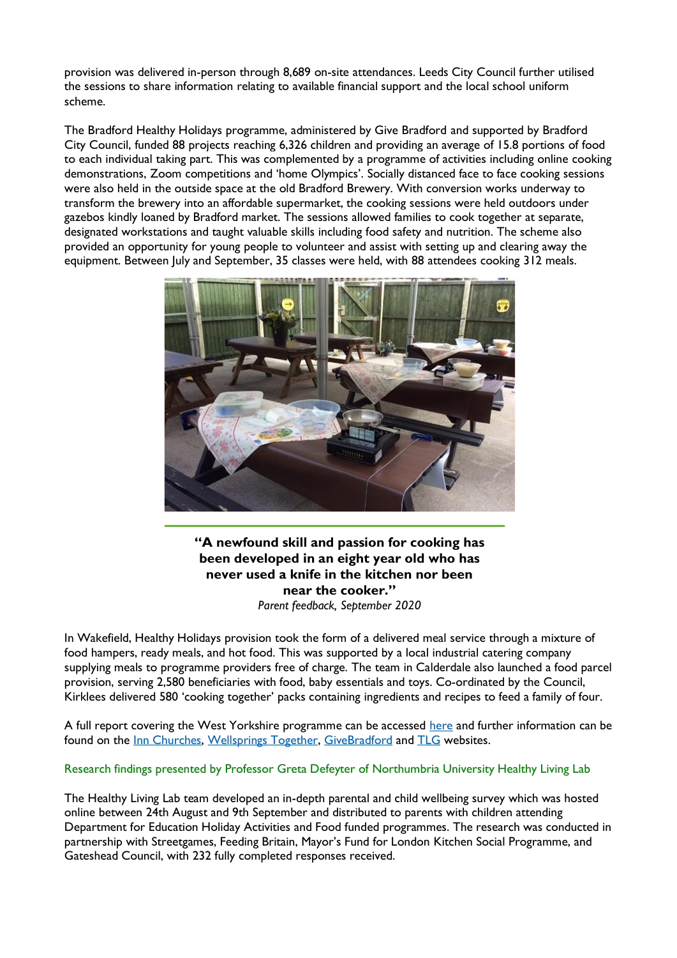provision was delivered in-person through 8,689 on-site attendances. Leeds City Council further utilised the sessions to share information relating to available financial support and the local school uniform scheme.

The Bradford Healthy Holidays programme, administered by Give Bradford and supported by Bradford City Council, funded 88 projects reaching 6,326 children and providing an average of 15.8 portions of food to each individual taking part. This was complemented by a programme of activities including online cooking demonstrations, Zoom competitions and 'home Olympics'. Socially distanced face to face cooking sessions were also held in the outside space at the old Bradford Brewery. With conversion works underway to transform the brewery into an affordable supermarket, the cooking sessions were held outdoors under gazebos kindly loaned by Bradford market. The sessions allowed families to cook together at separate, designated workstations and taught valuable skills including food safety and nutrition. The scheme also provided an opportunity for young people to volunteer and assist with setting up and clearing away the equipment. Between July and September, 35 classes were held, with 88 attendees cooking 312 meals.



**"A newfound skill and passion for cooking has been developed in an eight year old who has never used a knife in the kitchen nor been near the cooker."** *Parent feedback, September 2020*

In Wakefield, Healthy Holidays provision took the form of a delivered meal service through a mixture of food hampers, ready meals, and hot food. This was supported by a local industrial catering company supplying meals to programme providers free of charge. The team in Calderdale also launched a food parcel provision, serving 2,580 beneficiaries with food, baby essentials and toys. Co-ordinated by the Council, Kirklees delivered 580 'cooking together' packs containing ingredients and recipes to feed a family of four.

A full report covering the West Yorkshire programme can be accessed [here](https://feedingbritain.org/wp-content/uploads/2020/11/West-Yorkshire-Healthy-Holidays-Report.pdf) and further information can be found on the [Inn Churches, Wellsprings Together, GiveBradford](about:blank) and [TLG](about:blank) websites.

### Research findings presented by Professor Greta Defeyter of Northumbria University Healthy Living Lab

The Healthy Living Lab team developed an in-depth parental and child wellbeing survey which was hosted online between 24th August and 9th September and distributed to parents with children attending Department for Education Holiday Activities and Food funded programmes. The research was conducted in partnership with Streetgames, Feeding Britain, Mayor's Fund for London Kitchen Social Programme, and Gateshead Council, with 232 fully completed responses received.